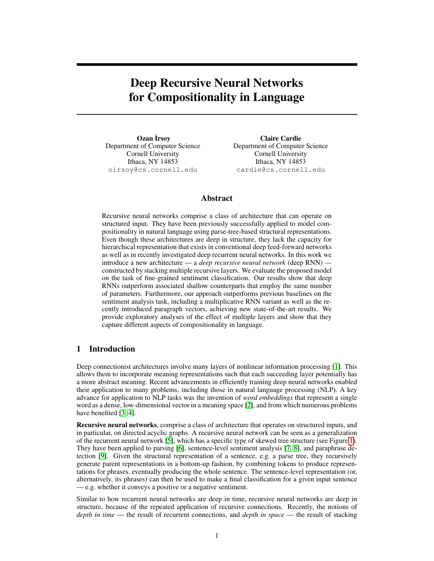# Deep Recursive Neural Networks for Compositionality in Language

Ozan İrsoy Department of Computer Science Cornell University Ithaca, NY 14853 oirsoy@cs.cornell.edu

Claire Cardie Department of Computer Science Cornell University Ithaca, NY 14853 cardie@cs.cornell.edu

# Abstract

Recursive neural networks comprise a class of architecture that can operate on structured input. They have been previously successfully applied to model compositionality in natural language using parse-tree-based structural representations. Even though these architectures are deep in structure, they lack the capacity for hierarchical representation that exists in conventional deep feed-forward networks as well as in recently investigated deep recurrent neural networks. In this work we introduce a new architecture — a *deep recursive neural network* (deep RNN) constructed by stacking multiple recursive layers. We evaluate the proposed model on the task of fine-grained sentiment classification. Our results show that deep RNNs outperform associated shallow counterparts that employ the same number of parameters. Furthermore, our approach outperforms previous baselines on the sentiment analysis task, including a multiplicative RNN variant as well as the recently introduced paragraph vectors, achieving new state-of-the-art results. We provide exploratory analyses of the effect of multiple layers and show that they capture different aspects of compositionality in language.

## 1 Introduction

Deep connectionist architectures involve many layers of nonlinear information processing [\[1\]](#page-7-0). This allows them to incorporate meaning representations such that each succeeding layer potentially has a more abstract meaning. Recent advancements in efficiently training deep neural networks enabled their application to many problems, including those in natural language processing (NLP). A key advance for application to NLP tasks was the invention of *word embeddings* that represent a single word as a dense, low-dimensional vector in a meaning space [\[2\]](#page-7-1), and from which numerous problems have benefited [\[3,](#page-8-0) [4\]](#page-8-1).

Recursive neural networks, comprise a class of architecture that operates on structured inputs, and in particular, on directed acyclic graphs. A recursive neural network can be seen as a generalization of the recurrent neural network [\[5\]](#page-8-2), which has a specific type of skewed tree structure (see Figure [1\)](#page-1-0). They have been applied to parsing [\[6\]](#page-8-3), sentence-level sentiment analysis [\[7,](#page-8-4) [8\]](#page-8-5), and paraphrase detection [\[9\]](#page-8-6). Given the structural representation of a sentence, e.g. a parse tree, they recursively generate parent representations in a bottom-up fashion, by combining tokens to produce representations for phrases, eventually producing the whole sentence. The sentence-level representation (or, alternatively, its phrases) can then be used to make a final classification for a given input sentence — e.g. whether it conveys a positive or a negative sentiment.

Similar to how recurrent neural networks are deep in time, recursive neural networks are deep in structure, because of the repeated application of recursive connections. Recently, the notions of *depth in time* — the result of recurrent connections, and *depth in space* — the result of stacking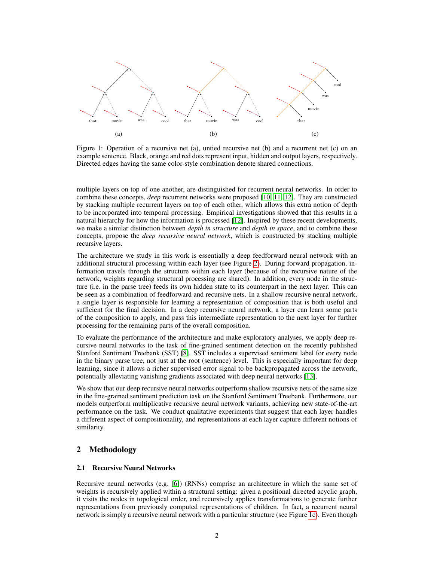<span id="page-1-0"></span>

Figure 1: Operation of a recursive net (a), untied recursive net (b) and a recurrent net (c) on an example sentence. Black, orange and red dots represent input, hidden and output layers, respectively. Directed edges having the same color-style combination denote shared connections.

multiple layers on top of one another, are distinguished for recurrent neural networks. In order to combine these concepts, *deep* recurrent networks were proposed [\[10,](#page-8-7) [11,](#page-8-8) [12\]](#page-8-9). They are constructed by stacking multiple recurrent layers on top of each other, which allows this extra notion of depth to be incorporated into temporal processing. Empirical investigations showed that this results in a natural hierarchy for how the information is processed [\[12\]](#page-8-9). Inspired by these recent developments, we make a similar distinction between *depth in structure* and *depth in space*, and to combine these concepts, propose the *deep recursive neural network*, which is constructed by stacking multiple recursive layers.

The architecture we study in this work is essentially a deep feedforward neural network with an additional structural processing within each layer (see Figure [2\)](#page-3-0). During forward propagation, information travels through the structure within each layer (because of the recursive nature of the network, weights regarding structural processing are shared). In addition, every node in the structure (i.e. in the parse tree) feeds its own hidden state to its counterpart in the next layer. This can be seen as a combination of feedforward and recursive nets. In a shallow recursive neural network, a single layer is responsible for learning a representation of composition that is both useful and sufficient for the final decision. In a deep recursive neural network, a layer can learn some parts of the composition to apply, and pass this intermediate representation to the next layer for further processing for the remaining parts of the overall composition.

To evaluate the performance of the architecture and make exploratory analyses, we apply deep recursive neural networks to the task of fine-grained sentiment detection on the recently published Stanford Sentiment Treebank (SST) [\[8\]](#page-8-5). SST includes a supervised sentiment label for every node in the binary parse tree, not just at the root (sentence) level. This is especially important for deep learning, since it allows a richer supervised error signal to be backpropagated across the network, potentially alleviating vanishing gradients associated with deep neural networks [\[13\]](#page-8-10).

We show that our deep recursive neural networks outperform shallow recursive nets of the same size in the fine-grained sentiment prediction task on the Stanford Sentiment Treebank. Furthermore, our models outperform multiplicative recursive neural network variants, achieving new state-of-the-art performance on the task. We conduct qualitative experiments that suggest that each layer handles a different aspect of compositionality, and representations at each layer capture different notions of similarity.

# 2 Methodology

#### 2.1 Recursive Neural Networks

Recursive neural networks (e.g. [\[6\]](#page-8-3)) (RNNs) comprise an architecture in which the same set of weights is recursively applied within a structural setting: given a positional directed acyclic graph, it visits the nodes in topological order, and recursively applies transformations to generate further representations from previously computed representations of children. In fact, a recurrent neural network is simply a recursive neural network with a particular structure (see Figure [1c\)](#page-1-0). Even though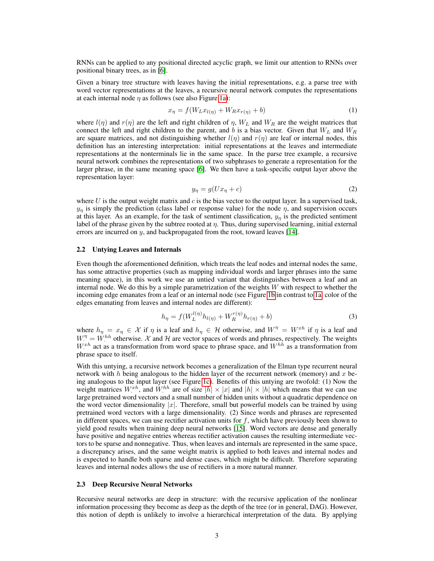RNNs can be applied to any positional directed acyclic graph, we limit our attention to RNNs over positional binary trees, as in [\[6\]](#page-8-3).

Given a binary tree structure with leaves having the initial representations, e.g. a parse tree with word vector representations at the leaves, a recursive neural network computes the representations at each internal node  $\eta$  as follows (see also Figure [1a\)](#page-1-0):

$$
x_{\eta} = f(W_L x_{l(\eta)} + W_R x_{r(\eta)} + b) \tag{1}
$$

where  $l(\eta)$  and  $r(\eta)$  are the left and right children of  $\eta$ ,  $W_L$  and  $W_R$  are the weight matrices that connect the left and right children to the parent, and b is a bias vector. Given that  $W_L$  and  $W_R$ are square matrices, and not distinguishing whether  $l(\eta)$  and  $r(\eta)$  are leaf or internal nodes, this definition has an interesting interpretation: initial representations at the leaves and intermediate representations at the nonterminals lie in the same space. In the parse tree example, a recursive neural network combines the representations of two subphrases to generate a representation for the larger phrase, in the same meaning space [\[6\]](#page-8-3). We then have a task-specific output layer above the representation layer:

$$
y_{\eta} = g(Ux_{\eta} + c) \tag{2}
$$

where U is the output weight matrix and c is the bias vector to the output layer. In a supervised task,  $y_n$  is simply the prediction (class label or response value) for the node  $\eta$ , and supervision occurs at this layer. As an example, for the task of sentiment classification,  $y_n$  is the predicted sentiment label of the phrase given by the subtree rooted at  $\eta$ . Thus, during supervised learning, initial external errors are incurred on y, and backpropagated from the root, toward leaves [\[14\]](#page-8-11).

#### <span id="page-2-0"></span>2.2 Untying Leaves and Internals

Even though the aforementioned definition, which treats the leaf nodes and internal nodes the same, has some attractive properties (such as mapping individual words and larger phrases into the same meaning space), in this work we use an untied variant that distinguishes between a leaf and an internal node. We do this by a simple parametrization of the weights  $W$  with respect to whether the incoming edge emanates from a leaf or an internal node (see Figure [1b](#page-1-0) in contrast to [1a,](#page-1-0) color of the edges emanating from leaves and internal nodes are different):

$$
h_{\eta} = f(W_L^{l(\eta)} h_{l(\eta)} + W_R^{r(\eta)} h_{r(\eta)} + b)
$$
\n(3)

where  $h_{\eta} = x_{\eta} \in \mathcal{X}$  if  $\eta$  is a leaf and  $h_{\eta} \in \mathcal{H}$  otherwise, and  $W_{\cdot}^{\eta} = W_{\cdot}^{xh}$  if  $\eta$  is a leaf and  $W^{\eta} = W^{hh}$  otherwise. X and H are vector spaces of words and phrases, respectively. The weights  $W^{xh}$  act as a transformation from word space to phrase space, and  $W^{hh}$  as a transformation from phrase space to itself.

With this untying, a recursive network becomes a generalization of the Elman type recurrent neural network with h being analogous to the hidden layer of the recurrent network (memory) and  $x$  being analogous to the input layer (see Figure [1c\)](#page-1-0). Benefits of this untying are twofold: (1) Now the weight matrices  $W^{xh}$ , and  $W^{hh}$  are of size  $|h| \times |x|$  and  $|h| \times |h|$  which means that we can use large pretrained word vectors and a small number of hidden units without a quadratic dependence on the word vector dimensionality  $|x|$ . Therefore, small but powerful models can be trained by using pretrained word vectors with a large dimensionality. (2) Since words and phrases are represented in different spaces, we can use rectifier activation units for  $f$ , which have previously been shown to yield good results when training deep neural networks [\[15\]](#page-8-12). Word vectors are dense and generally have positive and negative entries whereas rectifier activation causes the resulting intermediate vectors to be sparse and nonnegative. Thus, when leaves and internals are represented in the same space, a discrepancy arises, and the same weight matrix is applied to both leaves and internal nodes and is expected to handle both sparse and dense cases, which might be difficult. Therefore separating leaves and internal nodes allows the use of rectifiers in a more natural manner.

#### 2.3 Deep Recursive Neural Networks

Recursive neural networks are deep in structure: with the recursive application of the nonlinear information processing they become as deep as the depth of the tree (or in general, DAG). However, this notion of depth is unlikely to involve a hierarchical interpretation of the data. By applying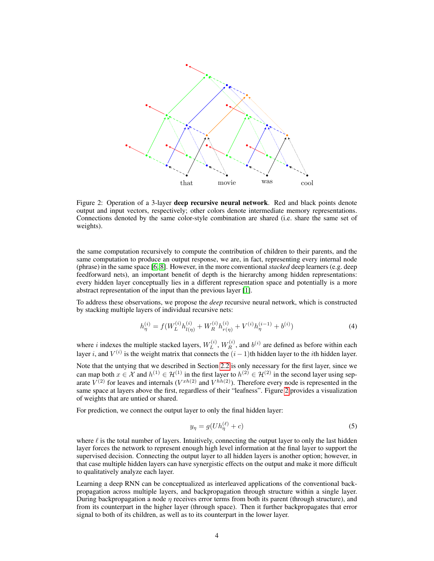<span id="page-3-0"></span>

Figure 2: Operation of a 3-layer deep recursive neural network. Red and black points denote output and input vectors, respectively; other colors denote intermediate memory representations. Connections denoted by the same color-style combination are shared (i.e. share the same set of weights).

the same computation recursively to compute the contribution of children to their parents, and the same computation to produce an output response, we are, in fact, representing every internal node (phrase) in the same space [\[6,](#page-8-3) [8\]](#page-8-5). However, in the more conventional *stacked* deep learners (e.g. deep feedforward nets), an important benefit of depth is the hierarchy among hidden representations: every hidden layer conceptually lies in a different representation space and potentially is a more abstract representation of the input than the previous layer [\[1\]](#page-7-0).

To address these observations, we propose the *deep* recursive neural network, which is constructed by stacking multiple layers of individual recursive nets:

$$
h_{\eta}^{(i)} = f(W_L^{(i)} h_{l(\eta)}^{(i)} + W_R^{(i)} h_{r(\eta)}^{(i)} + V^{(i)} h_{\eta}^{(i-1)} + b^{(i)})
$$
\n(4)

where *i* indexes the multiple stacked layers,  $W_L^{(i)}$  $L^{(i)}$ ,  $W_R^{(i)}$ , and  $b^{(i)}$  are defined as before within each layer i, and  $V^{(i)}$  is the weight matrix that connects the  $(i-1)$ th hidden layer to the ith hidden layer.

Note that the untying that we described in Section [2.2](#page-2-0) is only necessary for the first layer, since we can map both  $x \in \mathcal{X}$  and  $h^{(1)} \in \mathcal{H}^{(1)}$  in the first layer to  $h^{(2)} \in \mathcal{H}^{(2)}$  in the second layer using separate  $V^{(2)}$  for leaves and internals  $(V^{xh(2)}$  and  $V^{hh(2)}$ ). Therefore every node is represented in the same space at layers above the first, regardless of their "leafness". Figure [2](#page-3-0) provides a visualization of weights that are untied or shared.

For prediction, we connect the output layer to only the final hidden layer:

$$
y_{\eta} = g(Uh_{\eta}^{(\ell)} + c) \tag{5}
$$

where  $\ell$  is the total number of layers. Intuitively, connecting the output layer to only the last hidden layer forces the network to represent enough high level information at the final layer to support the supervised decision. Connecting the output layer to all hidden layers is another option; however, in that case multiple hidden layers can have synergistic effects on the output and make it more difficult to qualitatively analyze each layer.

Learning a deep RNN can be conceptualized as interleaved applications of the conventional backpropagation across multiple layers, and backpropagation through structure within a single layer. During backpropagation a node  $\eta$  receives error terms from both its parent (through structure), and from its counterpart in the higher layer (through space). Then it further backpropagates that error signal to both of its children, as well as to its counterpart in the lower layer.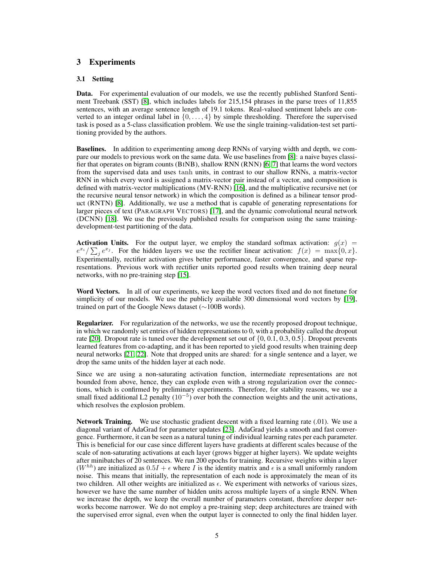# 3 Experiments

### 3.1 Setting

Data. For experimental evaluation of our models, we use the recently published Stanford Sentiment Treebank (SST) [\[8\]](#page-8-5), which includes labels for 215,154 phrases in the parse trees of 11,855 sentences, with an average sentence length of 19.1 tokens. Real-valued sentiment labels are converted to an integer ordinal label in  $\{0, \ldots, 4\}$  by simple thresholding. Therefore the supervised task is posed as a 5-class classification problem. We use the single training-validation-test set partitioning provided by the authors.

Baselines. In addition to experimenting among deep RNNs of varying width and depth, we compare our models to previous work on the same data. We use baselines from [\[8\]](#page-8-5): a naive bayes classifier that operates on bigram counts (BINB), shallow RNN (RNN) [\[6,](#page-8-3) [7\]](#page-8-4) that learns the word vectors from the supervised data and uses tanh units, in contrast to our shallow RNNs, a matrix-vector RNN in which every word is assigned a matrix-vector pair instead of a vector, and composition is defined with matrix-vector multiplications (MV-RNN) [\[16\]](#page-8-13), and the multiplicative recursive net (or the recursive neural tensor network) in which the composition is defined as a bilinear tensor product (RNTN) [\[8\]](#page-8-5). Additionally, we use a method that is capable of generating representations for larger pieces of text (PARAGRAPH VECTORS) [\[17\]](#page-8-14), and the dynamic convolutional neural network (DCNN) [\[18\]](#page-8-15). We use the previously published results for comparison using the same trainingdevelopment-test partitioning of the data.

**Activation Units.** For the output layer, we employ the standard softmax activation:  $g(x)$  =  $e^{x_i}/\sum_j e^{x_j}$ . For the hidden layers we use the rectifier linear activation:  $f(x) = \max\{0, x\}$ . Experimentally, rectifier activation gives better performance, faster convergence, and sparse representations. Previous work with rectifier units reported good results when training deep neural networks, with no pre-training step [\[15\]](#page-8-12).

Word Vectors. In all of our experiments, we keep the word vectors fixed and do not finetune for simplicity of our models. We use the publicly available 300 dimensional word vectors by [\[19\]](#page-8-16), trained on part of the Google News dataset (∼100B words).

Regularizer. For regularization of the networks, we use the recently proposed dropout technique, in which we randomly set entries of hidden representations to 0, with a probability called the dropout rate [\[20\]](#page-8-17). Dropout rate is tuned over the development set out of {0, 0.1, 0.3, 0.5}. Dropout prevents learned features from co-adapting, and it has been reported to yield good results when training deep neural networks [\[21,](#page-8-18) [22\]](#page-8-19). Note that dropped units are shared: for a single sentence and a layer, we drop the same units of the hidden layer at each node.

Since we are using a non-saturating activation function, intermediate representations are not bounded from above, hence, they can explode even with a strong regularization over the connections, which is confirmed by preliminary experiments. Therefore, for stability reasons, we use a small fixed additional L2 penalty  $(10^{-5})$  over both the connection weights and the unit activations, which resolves the explosion problem.

Network Training. We use stochastic gradient descent with a fixed learning rate (.01). We use a diagonal variant of AdaGrad for parameter updates [\[23\]](#page-8-20). AdaGrad yields a smooth and fast convergence. Furthermore, it can be seen as a natural tuning of individual learning rates per each parameter. This is beneficial for our case since different layers have gradients at different scales because of the scale of non-saturating activations at each layer (grows bigger at higher layers). We update weights after minibatches of 20 sentences. We run 200 epochs for training. Recursive weights within a layer  $(W^{hh})$  are initialized as  $0.5I + \epsilon$  where I is the identity matrix and  $\epsilon$  is a small uniformly random noise. This means that initially, the representation of each node is approximately the mean of its two children. All other weights are initialized as  $\epsilon$ . We experiment with networks of various sizes, however we have the same number of hidden units across multiple layers of a single RNN. When we increase the depth, we keep the overall number of parameters constant, therefore deeper networks become narrower. We do not employ a pre-training step; deep architectures are trained with the supervised error signal, even when the output layer is connected to only the final hidden layer.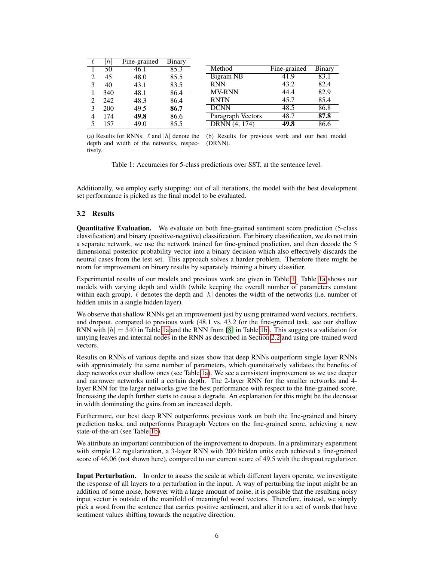<span id="page-5-0"></span>

|   | $\hbar$ | Fine-grained | Binary |                   |              |        |
|---|---------|--------------|--------|-------------------|--------------|--------|
|   | 50      | 46.1         | 85.3   | Method            | Fine-grained | Binary |
| 2 | 45      | 48.0         | 85.5   | <b>Bigram NB</b>  | 41.9         | 83.1   |
| 3 | 40      | 43.1         | 83.5   | <b>RNN</b>        | 43.2         | 82.4   |
|   | 340     | 48.1         | 86.4   | <b>MV-RNN</b>     | 44.4         | 82.9   |
|   | 242     | 48.3         | 86.4   | <b>RNTN</b>       | 45.7         | 85.4   |
|   | 200     | 49.5         | 86.7   | <b>DCNN</b>       | 48.5         | 86.8   |
|   | 174     | 49.8         | 86.6   | Paragraph Vectors | 48.7         | 87.8   |
|   | 157     | 49.0         | 85.5   | DRNN (4, 174)     | 49.8         | 86.6   |

depth and width of the networks, respec-(DRNN). tively.

(a) Results for RNNs.  $\ell$  and |h| denote the (b) Results for previous work and our best model

Table 1: Accuracies for 5-class predictions over SST, at the sentence level.

Additionally, we employ early stopping: out of all iterations, the model with the best development set performance is picked as the final model to be evaluated.

#### 3.2 Results

Quantitative Evaluation. We evaluate on both fine-grained sentiment score prediction (5-class classification) and binary (positive-negative) classification. For binary classification, we do not train a separate network, we use the network trained for fine-grained prediction, and then decode the 5 dimensional posterior probability vector into a binary decision which also effectively discards the neutral cases from the test set. This approach solves a harder problem. Therefore there might be room for improvement on binary results by separately training a binary classifier.

Experimental results of our models and previous work are given in Table [1.](#page-5-0) Table [1a](#page-5-0) shows our models with varying depth and width (while keeping the overall number of parameters constant within each group).  $\ell$  denotes the depth and |h| denotes the width of the networks (i.e. number of hidden units in a single hidden layer).

We observe that shallow RNNs get an improvement just by using pretrained word vectors, rectifiers, and dropout, compared to previous work (48.1 vs. 43.2 for the fine-grained task, see our shallow RNN with  $|h| = 340$  in Table [1a](#page-5-0) and the RNN from [\[8\]](#page-8-5) in Table [1b\)](#page-5-0). This suggests a validation for untying leaves and internal nodes in the RNN as described in Section [2.2](#page-2-0) and using pre-trained word vectors.

Results on RNNs of various depths and sizes show that deep RNNs outperform single layer RNNs with approximately the same number of parameters, which quantitatively validates the benefits of deep networks over shallow ones (see Table [1a\)](#page-5-0). We see a consistent improvement as we use deeper and narrower networks until a certain depth. The 2-layer RNN for the smaller networks and 4 layer RNN for the larger networks give the best performance with respect to the fine-grained score. Increasing the depth further starts to cause a degrade. An explanation for this might be the decrease in width dominating the gains from an increased depth.

Furthermore, our best deep RNN outperforms previous work on both the fine-grained and binary prediction tasks, and outperforms Paragraph Vectors on the fine-grained score, achieving a new state-of-the-art (see Table [1b\)](#page-5-0).

We attribute an important contribution of the improvement to dropouts. In a preliminary experiment with simple L2 regularization, a 3-layer RNN with 200 hidden units each achieved a fine-grained score of 46.06 (not shown here), compared to our current score of 49.5 with the dropout regularizer.

Input Perturbation. In order to assess the scale at which different layers operate, we investigate the response of all layers to a perturbation in the input. A way of perturbing the input might be an addition of some noise, however with a large amount of noise, it is possible that the resulting noisy input vector is outside of the manifold of meaningful word vectors. Therefore, instead, we simply pick a word from the sentence that carries positive sentiment, and alter it to a set of words that have sentiment values shifting towards the negative direction.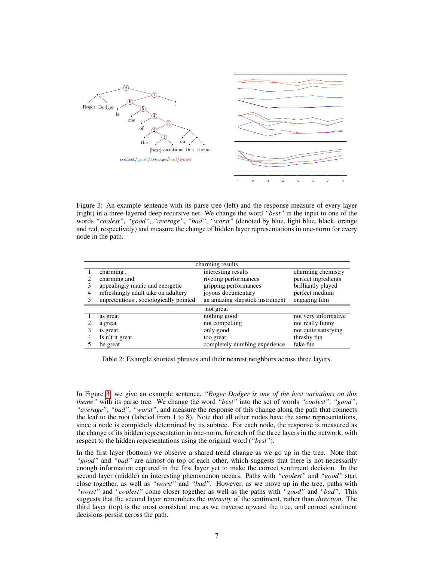<span id="page-6-0"></span>

Figure 3: An example sentence with its parse tree (left) and the response measure of every layer (right) in a three-layered deep recursive net. We change the word *"best"* in the input to one of the words *"coolest"*, *"good"*, *"average"*, *"bad"*, *"worst"* (denoted by blue, light blue, black, orange and red, respectively) and measure the change of hidden layer representations in one-norm for every node in the path.

<span id="page-6-1"></span>

| charming results |                                       |                                 |                      |  |  |  |  |
|------------------|---------------------------------------|---------------------------------|----------------------|--|--|--|--|
|                  | charming,                             | interesting results             | charming chemistry   |  |  |  |  |
|                  | charming and                          | riveting performances           | perfect ingredients  |  |  |  |  |
|                  | appealingly manic and energetic       | gripping performances           | brilliantly played   |  |  |  |  |
| 4                | refreshingly adult take on adultery   | joyous documentary              | perfect medium       |  |  |  |  |
|                  | unpretentious, sociologically pointed | an amazing slapstick instrument | engaging film        |  |  |  |  |
| not great        |                                       |                                 |                      |  |  |  |  |
|                  | as great                              | nothing good                    | not very informative |  |  |  |  |
|                  | a great                               | not compelling                  | not really funny     |  |  |  |  |
| 3                | is great                              | only good                       | not quite satisfying |  |  |  |  |
|                  | Is n't it great                       | too great                       | thrashy fun          |  |  |  |  |
|                  | be great                              | completely numbing experience   | fake fun             |  |  |  |  |

Table 2: Example shortest phrases and their nearest neighbors across three layers.

In Figure [3,](#page-6-0) we give an example sentence, *"Roger Dodger is one of the best variations on this theme"* with its parse tree. We change the word *"best"* into the set of words *"coolest"*, *"good"*, *"average"*, *"bad"*, *"worst"*, and measure the response of this change along the path that connects the leaf to the root (labeled from 1 to 8). Note that all other nodes have the same representations, since a node is completely determined by its subtree. For each node, the response is measured as the change of its hidden representation in one-norm, for each of the three layers in the network, with respect to the hidden representations using the original word (*"best"*).

In the first layer (bottom) we observe a shared trend change as we go up in the tree. Note that *"good"* and *"bad"* are almost on top of each other, which suggests that there is not necessarily enough information captured in the first layer yet to make the correct sentiment decision. In the second layer (middle) an interesting phenomenon occurs: Paths with *"coolest"* and *"good"* start close together, as well as *"worst"* and *"bad"*. However, as we move up in the tree, paths with *"worst"* and *"coolest"* come closer together as well as the paths with *"good"* and *"bad"*. This suggests that the second layer remembers the *intensity* of the sentiment, rather than *direction*. The third layer (top) is the most consistent one as we traverse upward the tree, and correct sentiment decisions persist across the path.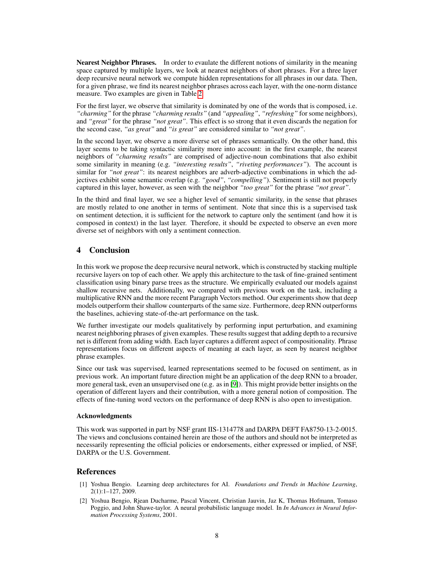Nearest Neighbor Phrases. In order to evaulate the different notions of similarity in the meaning space captured by multiple layers, we look at nearest neighbors of short phrases. For a three layer deep recursive neural network we compute hidden representations for all phrases in our data. Then, for a given phrase, we find its nearest neighbor phrases across each layer, with the one-norm distance measure. Two examples are given in Table [2.](#page-6-1)

For the first layer, we observe that similarity is dominated by one of the words that is composed, i.e. *"charming"* for the phrase *"charming results"* (and *"appealing"*, *"refreshing"* for some neighbors), and *"great"* for the phrase *"not great"*. This effect is so strong that it even discards the negation for the second case, *"as great"* and *"is great"* are considered similar to *"not great"*.

In the second layer, we observe a more diverse set of phrases semantically. On the other hand, this layer seems to be taking syntactic similarity more into account: in the first example, the nearest neighbors of *"charming results"* are comprised of adjective-noun combinations that also exhibit some similarity in meaning (e.g. *"interesting results"*, *"riveting performances"*). The account is similar for *"not great"*: its nearest neighbors are adverb-adjective combinations in which the adjectives exhibit some semantic overlap (e.g. *"good"*, *"compelling"*). Sentiment is still not properly captured in this layer, however, as seen with the neighbor *"too great"* for the phrase *"not great"*.

In the third and final layer, we see a higher level of semantic similarity, in the sense that phrases are mostly related to one another in terms of sentiment. Note that since this is a supervised task on sentiment detection, it is sufficient for the network to capture only the sentiment (and how it is composed in context) in the last layer. Therefore, it should be expected to observe an even more diverse set of neighbors with only a sentiment connection.

# 4 Conclusion

In this work we propose the deep recursive neural network, which is constructed by stacking multiple recursive layers on top of each other. We apply this architecture to the task of fine-grained sentiment classification using binary parse trees as the structure. We empirically evaluated our models against shallow recursive nets. Additionally, we compared with previous work on the task, including a multiplicative RNN and the more recent Paragraph Vectors method. Our experiments show that deep models outperform their shallow counterparts of the same size. Furthermore, deep RNN outperforms the baselines, achieving state-of-the-art performance on the task.

We further investigate our models qualitatively by performing input perturbation, and examining nearest neighboring phrases of given examples. These results suggest that adding depth to a recursive net is different from adding width. Each layer captures a different aspect of compositionality. Phrase representations focus on different aspects of meaning at each layer, as seen by nearest neighbor phrase examples.

Since our task was supervised, learned representations seemed to be focused on sentiment, as in previous work. An important future direction might be an application of the deep RNN to a broader, more general task, even an unsupervised one (e.g. as in [\[9\]](#page-8-6)). This might provide better insights on the operation of different layers and their contribution, with a more general notion of composition. The effects of fine-tuning word vectors on the performance of deep RNN is also open to investigation.

#### Acknowledgments

This work was supported in part by NSF grant IIS-1314778 and DARPA DEFT FA8750-13-2-0015. The views and conclusions contained herein are those of the authors and should not be interpreted as necessarily representing the official policies or endorsements, either expressed or implied, of NSF, DARPA or the U.S. Government.

# References

- <span id="page-7-0"></span>[1] Yoshua Bengio. Learning deep architectures for AI. *Foundations and Trends in Machine Learning*, 2(1):1–127, 2009.
- <span id="page-7-1"></span>[2] Yoshua Bengio, Rjean Ducharme, Pascal Vincent, Christian Jauvin, Jaz K, Thomas Hofmann, Tomaso Poggio, and John Shawe-taylor. A neural probabilistic language model. In *In Advances in Neural Information Processing Systems*, 2001.